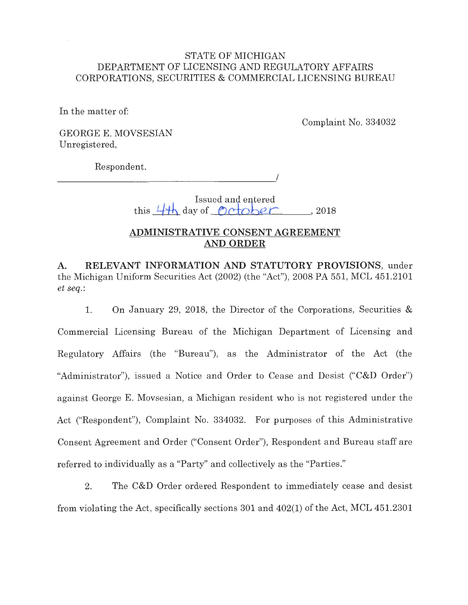## STATE OF MICHIGAN DEPARTMENT OF LICENSING AND REGULATORY AFFAIRS CORPORATIONS, SECURITIES & COMMERCIAL LICENSING BUREAU

In the matter of:

Complaint No. 334032

GEORGE E. MOVSESIAN Unregistered,

Respondent.

 $\overline{\phantom{a}}$ 

Issued and entered  $t$ his  $4$ <sup>th</sup> day of percober , 2018

## **ADMINISTRATIVE CONSENT AGREEMENT AND ORDER**

**A. RELEVANT INFORMATION AND STATUTORY PROVISIONS,** under the Michigan Uniform Securities Act (2002) (the "Act"), 2008 PA 551, MCL 451.2101 *et seq.:* 

1. On January 29, 2018, the Director of the Corporations, Securities & Commercial Licensing Bureau of the Michigan Department of Licensing and Regulatory Affairs (the "Bureau"), as the Administrator of the Act (the "Administrator"), issued a Notice and Order to Cease and Desist ("C&D Order") against George E. Movsesian, a Michigan resident who is not registered under the Act ("Respondent"), Complaint No. 334032. For purposes of this Administrative Consent Agreement and Order ("Consent Order"), Respondent and Bureau staff are referred to individually as a "Party" and collectively as the "Parties."

2. The C&D Order ordered Respondent to immediately cease and desist from violating the Act, specifically sections 301 and 402(1) of the Act, MCL 451.2301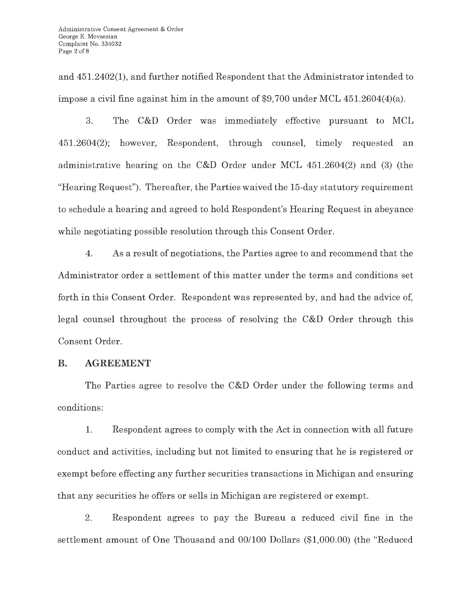and 451.2402(1), and further notified Respondent that the Administrator intended to impose a civil fine against him in the amount of \$9,700 under MCL  $451.2604(4)(a)$ .

3. The C&D Order was immediately effective pursuant to MCL 451.2604(2); however, Respondent, through counsel, timely requested an administrative hearing on the C&D Order under MCL 451.2604(2) and (3) (the "Hearing Request"). Thereafter, the Parties waived the 15-day statutory requirement to schedule a hearing and agreed to hold Respondent's Hearing Request in abeyance while negotiating possible resolution through this Consent Order.

4. As a result of negotiations, the Parties agree to and recommend that the Administrator order a settlement of this matter under the terms and conditions set forth in this Consent Order. Respondent was represented by, and had the advice of, legal counsel throughout the process of resolving the C&D Order through this Consent Order.

## **B. AGREEMENT**

The Parties agree to resolve the C&D Order under the following terms and conditions:

1. Respondent agrees to comply with the Act in connection with all future conduct and activities, including but not limited to ensuring that he is registered or exempt before effecting any further securities transactions in Michigan and ensuring that any securities he offers or sells in Michigan are registered or exempt.

2. Respondent agrees to pay the Bureau a reduced civil fine in the settlement amount of One Thousand and 00/100 Dollars (\$1,000.00) (the "Reduced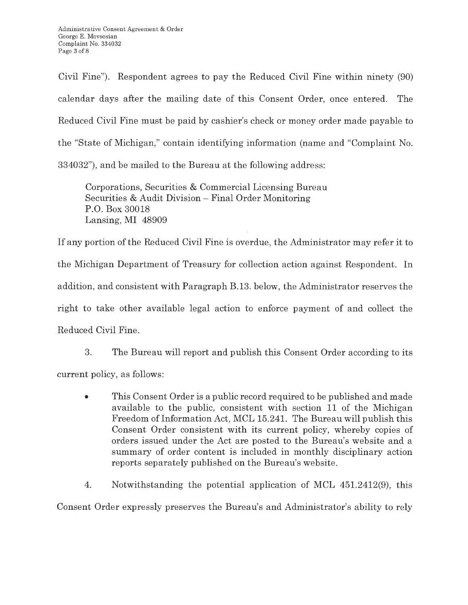Civil Fine"). Respondent agrees to pay the Reduced Civil Fine within ninety (90) calendar days after the mailing date of this Consent Order, once entered. The Reduced Civil Fine must be paid by cashier's check or money order made payable to the "State of Michigan," contain identifying information (name and "Complaint No. 334032"), and be mailed to the Bureau at the following address:

Corporations, Securities & Commercial Licensing Bureau Securities & Audit Division - Final Order Monitoring P.O. Box 30018 Lansing, MI 48909

If any portion of the Reduced Civil Fine is overdue, the Administrator may refer it to the Michigan Department of Treasury for collection action against Respondent. In addition, and consistent with Paragraph B.13. below, the Administrator reserves the right to take other available legal action to enforce payment of and collect the Reduced Civil Fine.

3. The Bureau will report and publish this Consent Order according to its current policy, as follows:

• This Consent Order is a public record required to be published and made available to the public, consistent with section 11 of the Michigan Freedom of Information Act, MCL 15.241. The Bureau will publish this Consent Order consistent with its current policy, whereby copies of orders issued under the Act are posted to the Bureau's website and a summary of order content is included in monthly disciplinary action reports separately published on the Bureau's website.

4. Notwithstanding the potential application of MCL 451.2412(9), this

Consent Order expressly preserves the Bureau's and Administrator's ability to rely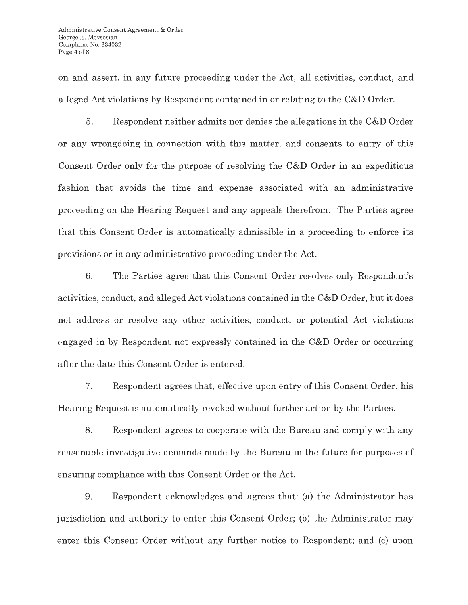on and assert, in any future proceeding under the Act, all activities, conduct, and alleged Act violations by Respondent contained in or relating to the C&D Order.

5. Respondent neither admits nor denies the allegations in the C&D Order or any wrongdoing in connection with this matter, and consents to entry of this Consent Order only for the purpose of resolving the C&D Order in an expeditious fashion that avoids the time and expense associated with an administrative proceeding on the Hearing Request and any appeals therefrom. The Parties agree that this Consent Order is automatically admissible in a proceeding to enforce its provisions or in any administrative proceeding under the Act.

6. The Parties agree that this Consent Order resolves only Respondent's activities, conduct, and alleged Act violations contained in the C&D Order, but it does not address or resolve any other activities, conduct, or potential Act violations engaged in by Respondent not expressly contained in the C&D Order or occurring after the date this Consent Order is entered.

7. Respondent agrees that, effective upon entry of this Consent Order, his Hearing Request is automatically revoked without further action by the Parties.

8. Respondent agrees to cooperate with the Bureau and comply with any reasonable investigative demands made by the Bureau in the future for purposes of ensuring compliance with this Consent Order or the Act.

9. Respondent acknowledges and agrees that: (a) the Administrator has jurisdiction and authority to enter this Consent Order; (b) the Administrator may enter this Consent Order without any further notice to Respondent; and (c) upon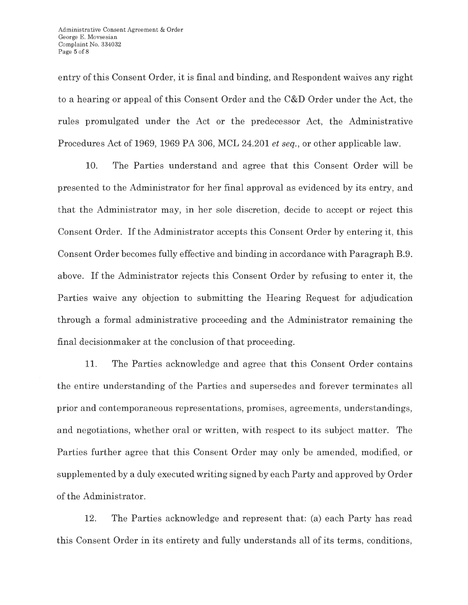entry of this Consent Order, it is final and binding, and Respondent waives any right to a hearing or appeal of this Consent Order and the C&D Order under the Act, the rules promulgated under the Act or the predecessor Act, the Administrative Procedures Act of 1969, 1969 PA 306, MCL 24.201 *et seq.,* or other applicable law.

10. The Parties understand and agree that this Consent Order will be presented to the Administrator for her final approval as evidenced by its entry, and that the Administrator may, in her sole discretion, decide to accept or reject this Consent Order. If the Administrator accepts this Consent Order by entering it, this Consent Order becomes fully effective and binding in accordance with Paragraph B.9. above . If the Administrator rejects this Consent Order by refusing to enter it, the Parties waive any objection to submitting the Hearing Request for adjudication through a formal administrative proceeding and the Administrator remaining the final decisionmaker at the conclusion of that proceeding.

11. The Parties acknowledge and agree that this Consent Order contains the entire understanding of the Parties and supersedes and forever terminates all prior and contemporaneous representations, promises, agreements, understandings, and negotiations, whether oral or written, with respect to its subject matter. The Parties further agree that this Consent Order may only be amended, modified, or supplemented by a duly executed writing signed by each Party and approved by Order of the Administrator.

12. The Parties acknowledge and represent that: (a) each Party has read this Consent Order in its entirety and fully understands all of its terms, conditions,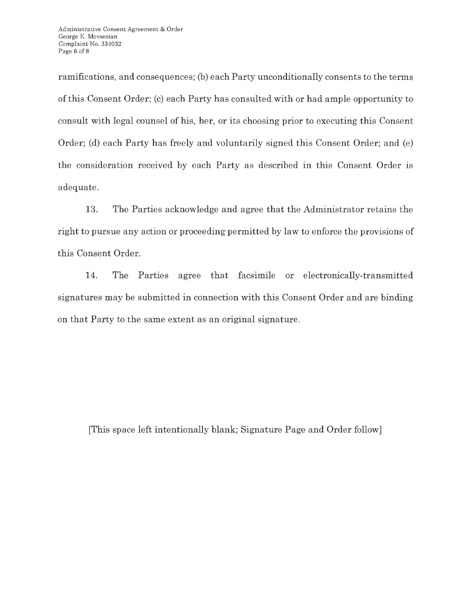ramifications, and consequences; (b) each Party unconditionally consents to the terms of this Consent Order; (c) each Party has consulted with or had ample opportunity to consult with legal counsel of his, her, or its choosing prior to executing this Consent Order; (d) each Party has freely and voluntarily signed this Consent Order; and (e) the consideration received by each Party as described in this Consent Order is adequate.

13. The Parties acknowledge and agree that the Administrator retains the right to pursue any action or proceeding permitted by law to enforce the provisions of this Consent Order.

14. The Parties agree that facsimile or electronically-transmitted signatures may be submitted in connection with this Consent Order and are binding on that Party to the same extent as an original signature.

[This space left intentionally blank; Signature Page and Order follow]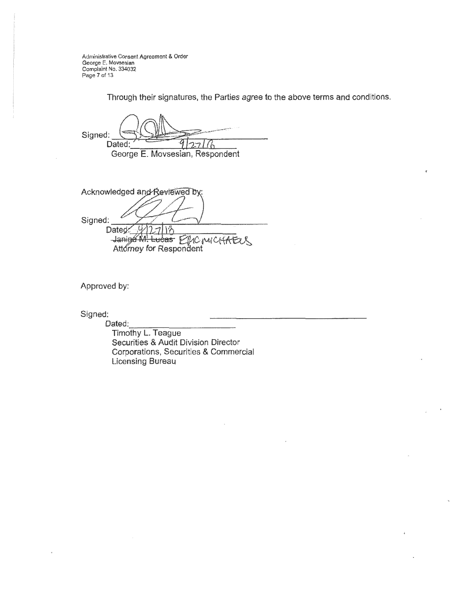Administrative Consent Agreement & Order George E. Movsesian Complaint No. 334032 Page 7 of 13

Through their signatures, the Parties agree to the above terms and conditions.

 $\mathbb{C} \setminus \mathbb{C} \cup \mathbb{C}$  $Signed: 1.00003$  Dated: 0.000 0.000 0.000 0.000 0.000 0.000 0.000 0.000 0.000 0.000 0.000 0.000 0.000 0.000 0.000 0.000 0.000 0.000 0.000 0.000 0.000 0.000 0.000 0.000 0.000 0.000 0.000 0.000 0.000 0.000 0.000 0.000 0.000 0. George E. Movsesian, Respondent

Acknowledged and Reviewed by: Signed: Dated:  $4/17/11$ Janing M. Lucas ELIC MICHAELS

Approved by:

Signed:

Dated:

Timothy L. Teague Securities & Audit Division Director Corporations, Securities & Commercial Licensing Bureau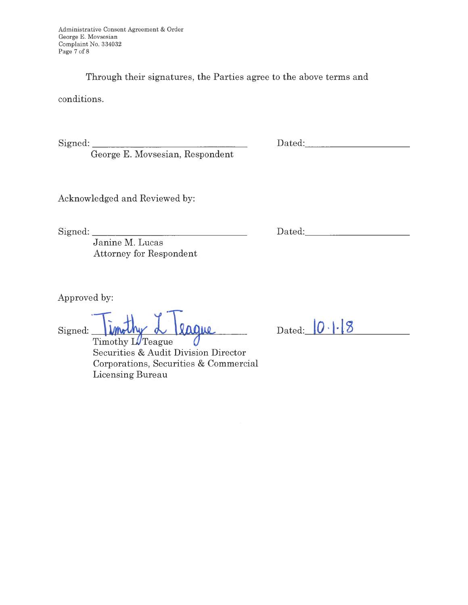Through their signatures, the Parties agree to the above terms and

conditions.

Signed: \_\_\_\_\_\_\_\_\_\_\_\_\_\_ \_

George E. Movsesian, Respondent

Dated: with the contract of the contract of the contract of the contract of the contract of the contract of the contract of the contract of the contract of the contract of the contract of the contract of the contract of th

Acknowledged and Reviewed by:

Signed: \_\_\_\_\_\_\_\_\_\_\_\_\_\_\_ \_

Dated: \_\_\_\_\_\_\_\_\_ \_

Janine M. Lucas Attorney for Respondent

Approved by:

 $Signeed:$  Timothy L Teague

Timothy LUTeague Securities & Audit Division Director Corporations, Securities & Commercial Licensing Bureau

Dated: 0.1.8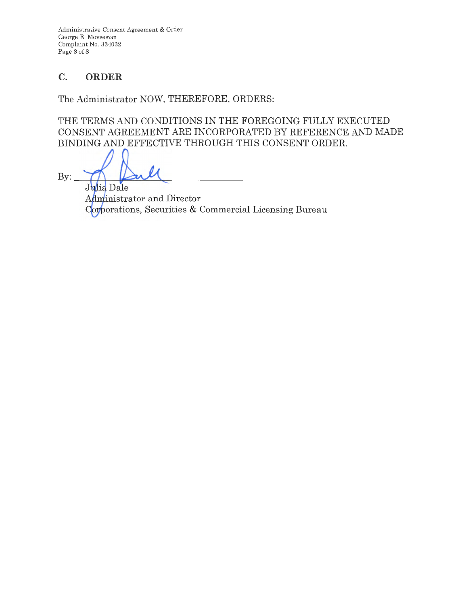Administrative Consent Agreement & Order George E. Movsesian Complaint No. 334032 Page 8 of 8

# **C. ORDER**

The Administrator NOW, THEREFORE, ORDERS:

THE TERMS AND CONDITIONS IN THE FOREGOING FULLY EXECUTED CONSENT AGREEMENT ARE INCORPORATED BY REFERENCE AND MADE BINDING AND EFFECTIVE THROUGH THIS CONSENT ORDER.

 $By:$ Julia Dale

Administrator and Director Corporations, Securities & Commercial Licensing Bureau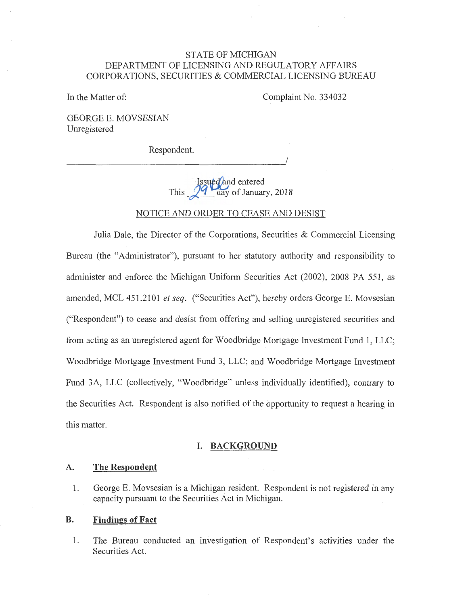## STATE OF MICHIGAN DEPARTMENT OF LICENSING AND REGULATORY AFFAIRS CORPORATJONS, SECURITIES & COMMERCIAL LICENSING BUREAU

In the Matter of:

Complaint No. 334032

I

GEORGE E. MOVSESIAN Unregistered

Respondent.

Issued and entered This  $\frac{99}{\text{day of January}}$ , 2018

NOTICE AND ORDER TO CEASE AND DESIST

Julia Dale, the Director of the Corporations, Securities & Commercial Licensing Bureau (the "Administrator"), pursuant to her statutory authority and responsibility to administer and enforce the Michigan Uniform Securities Act (2002), 2008 PA 551, as amended, MCL 451.2101 *et seq.* ("Securities Act"), hereby orders George E. Movsesian ("Respondent") to cease and desist from offering and selling unregistered securities and from acting as an unregistered agent for Woodbridge Mortgage Investment Fund 1, LLC; Woodbridge Mortgage Investment Fund 3, LLC; and Woodbridge Mortgage Investment Fund 3A, LLC (collectively, "Woodbridge" unless individually identified), contrary to the Securities Act. Respondent is also notified of the opportunity to request a hearing in this matter.

#### **I. BACKGROUND**

#### **A. The Respondent**

1. George E. Movsesian is a Michigan resident. Respondent is not registered in any capacity pursuant to the Securities Act in Michigan.

#### **B. Findings of Fact**

1. The Bureau conducted an investigation of Respondent's activities under the Securities Act.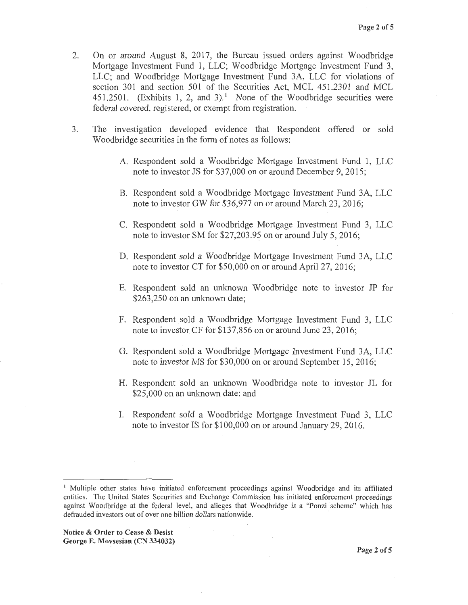- 2. On or around August 8, 2017, the Bureau issued orders against Woodbridge Mortgage Investment Fund 1, LLC; Woodbridge Mortgage Investment Fund 3, LLC; and Woodbridge Mortgage Investment Fund 3A, LLC for violations of section 301 and section 501 of the Securities Act, MCL 451.2301 and MCL 451.2501. (Exhibits 1, 2, and 3).<sup>1</sup> None of the Woodbridge securities were federal covered, registered, or exempt from registration.
- 3. The investigation developed evidence that Respondent offered or sold Woodbridge securities in the form of notes as follows:
	- A. Respondent sold a Woodbridge Mortgage Investment Fund 1, LLC note to investor JS for \$37,000 on or around December 9, 2015;
	- B. Respondent sold a Woodbridge Mortgage Investment Fund 3A, LLC note to investor GW for \$36,977 on or around March 23, 2016;
	- C. Respondent sold a Woodbridge Mortgage Investment Fund 3, LLC note to investor SM for \$27,203.95 on or around July 5, 2016;
	- D. Respondent sold a Woodbridge Mortgage Investment Fund 3A, LLC note to investor CT for \$50,000 on or around April 27, 2016;
	- E. Respondent sold an unknown Woodbridge note to investor JP for \$263,250 on an unknown date;
	- F. Respondent sold a Woodbridge Mortgage Investment Fund 3, LLC note to investor CF for \$137,856 on or around June 23, 2016;
	- G. Respondent sold a Woodbridge Mortgage Investment Fund 3A, LLC note to investor MS for \$30,000 on or around September 15, 2016;
	- H. Respondent sold an unknown Woodbridge note to investor JL for \$25,000 on an unknown date; and
	- I. Respondent sold a Woodbridge Mortgage Investment Fund 3, LLC note to investor IS for \$100,000 on or around January 29, 2016.

<sup>&</sup>lt;sup>1</sup> Multiple other states have initiated enforcement proceedings against Woodbridge and its affiliated entities. The United States Securities and Exchange Commission has initiated enforcement proceedings against Woodbridge at the federal level, and alleges that Woodbridge is a "Ponzi scheme" which has defrauded investors out of over one billion dollars nationwide.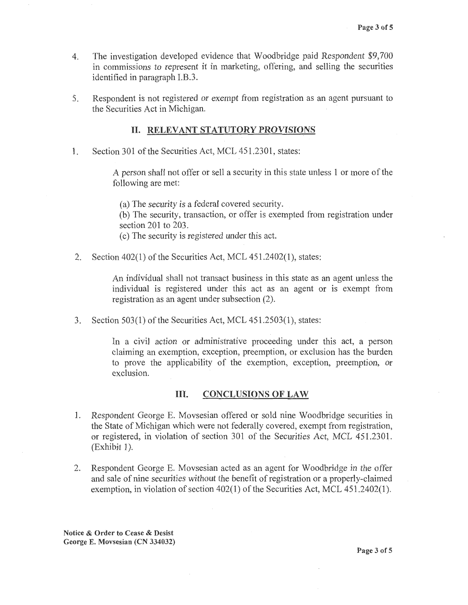- 4. The investigation developed evidence that Woodbridge paid Respondent \$9,700 in commissions to represent it in marketing, offering, and selling the securities identified in paragraph I.B.3.
- 5. Respondent is not registered or exempt from registration as an agent pursuant to the Securities Act in Michigan.

### II. **RELEVANT STATUTORY PROVISIONS**

1. Section 301 of the Securities Act, MCL 451.2301, states:

A person shall not offer or sell a security in this state unless 1 or more of the following are met:

(a) The security is a federal covered security. (b) The security, transaction, or offer is exempted from registration under section 201 to 203. ( c) The security is registered under this act.

2. Section 402(1) of the Securities Act, MCL 451.2402(1), states:

An individual shall not transact business in this state as an agent unless the individual is registered under this act as an agent or is exempt from registration as an agent under subsection {2).

3. Section 503(1) of the Securities Act, MCL 451.2503(1), states:

In a civil action or administrative proceeding under this act, a person claiming an exemption, exception, preemption, or exclusion has the burden to prove the applicability of the exemption, exception, preemption, or exclusion.

## III. **CONCLUSIONS OF LAW**

- 1. Respondent George E. Movsesian offered or sold nine Woodbridge securities in the State of Michigan which were not federally covered, exempt from registration, or registered, in violation of section 301 of the Securities Act, MCL 451.2301.  $(Exhibit 1)$ .
- 2. Respondent George E. Movsesian acted as an agent for Woodbridge in the offer and sale of nine securities without the benefit of registration or a properly-claimed exemption, in violation of section 402(1) of the Securities Act, MCL 451.2402(1).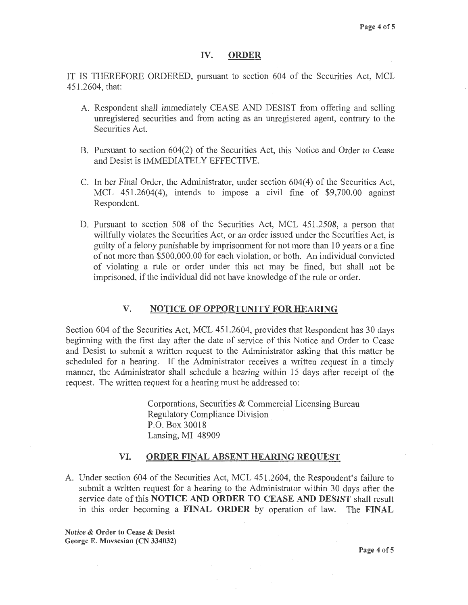#### **IV. ORDER**

IT IS THEREFORE ORDERED, pursuant to section 604 of the Securities Act, MCL 451.2604, that:

- A. Respondent shall immediately CEASE AND DESIST from offering and selling unregistered securities and from acting as an unregistered agent, contrary to the Securities Act.
- B. Pursuant to section 604(2) of the Securities Act, this Notice and Order to Cease and Desist is IMMEDIATELY EFFECTIVE.
- C. In her Final Order, the Administrator, under section 604(4) of the Securities Act, MCL 451.2604(4), intends to impose a civil fine of \$9,700.00 against Respondent.
- D. Pursuant to section 508 of the Securities Act, MCL 451.2508, a person that willfully violates the Securities Act, or an order issued under the Securities Act, is guilty of a felony punishable by imprisonment for not more than 10 years or a fine of not more than \$500,000.00 for each violation, or both. An individual convicted of violating a rule or order under this act may be fined, but shall not be imprisoned, if the individual did not have knowledge of the rule or order.

#### **V. NOTICE OF OPPORTUNITY FOR HEARING**

Section 604 of the Securities Act, MCL 451.2604, provides that Respondent has 30 days beginning with the first day after the date of service of this Notice and Order to Cease and Desist to submit a written request to the Administrator asking that this matter be scheduled for a hearing. If the Administrator receives a written request in a timely manner, the Administrator shall schedule a hearing within 15 days after receipt of the request. The written request for a hearing must be addressed to:

> . Corporations, Securities & Commercial Licensing Bureau Regulatory Compliance Division P.O. Box 30018 Lansing, MI 48909

#### **VI. ORDER FINAL ABSENT HEARING REQUEST**

A. Under section 604 of the Securities Act, MCL 451.2604, the Respondent's failure to submit a written request for a hearing to the Administrator within 30 days after the service date of this **NOTICE AND ORDER TO CEASE AND DESIST** shall result in this order becoming a **FINAL ORDER** by operation of law. The **FINAL**